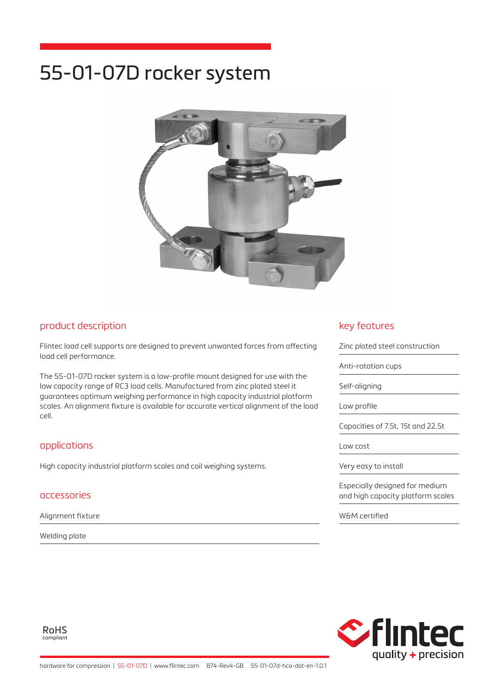# 55-01-07D rocker system



### product description

Flintec load cell supports are designed to prevent unwanted forces from affecting load cell performance.

The 55-01-07D rocker system is a low-profile mount designed for use with the low capacity range of RC3 load cells. Manufactured from zinc plated steel it guarantees optimum weighing performance in high capacity industrial platform scales. An alignment fixture is available for accurate vertical alignment of the load cell.

## applications

High capacity industrial platform scales and coil weighing systems.

#### accessories

Alignment fixture

Welding plate

## key features

Zinc plated steel construction Anti-rotation cups Self-aligning Low profile Capacities of 7.5t, 15t and 22.5t Low cost Very easy to install Especially designed for medium and high capacity platform scales

W&M certified